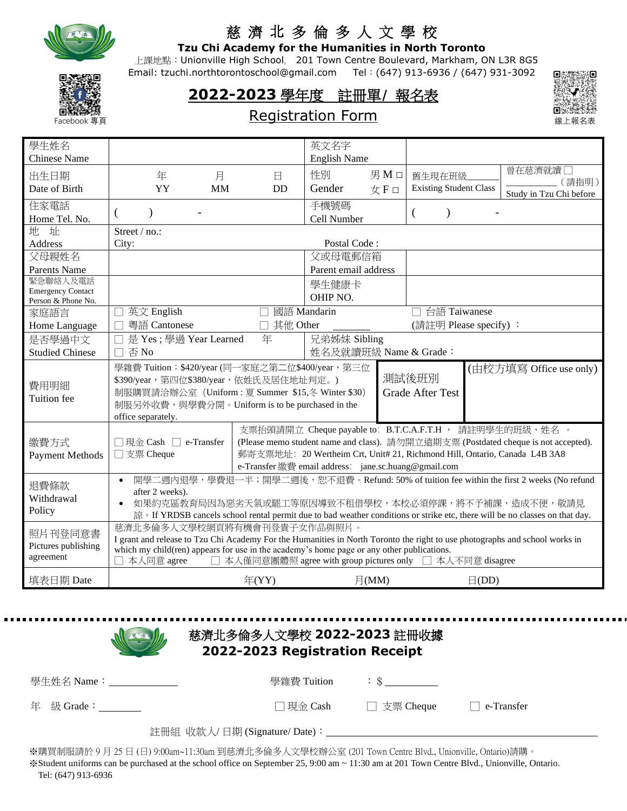

## 慈 濟 北 多 倫 多 人 文 學 校

**Tzu Chi Academy for the Humanities in North Toronto**

 上課地點:Unionville High School, 201 Town Centre Boulevard, Markham, ON L3R 8G5 Email: tzuchi.northtorontoschool@gmail.com Tel:(647) 913-6936 / (647) 931-3092



**2022-2023** 學年度 註冊單/ 報名表



## Registration Form

| 學生姓名                     |                                                                                                                             |    |            | 英文名字                                                       |       |                               |            |                                                                                                                              |
|--------------------------|-----------------------------------------------------------------------------------------------------------------------------|----|------------|------------------------------------------------------------|-------|-------------------------------|------------|------------------------------------------------------------------------------------------------------------------------------|
| <b>Chinese Name</b>      |                                                                                                                             |    |            | <b>English Name</b>                                        |       |                               |            |                                                                                                                              |
| 出生日期                     | 年                                                                                                                           | 月  | 日          | 性別                                                         | 男Mロ   | 舊生現在班級                        |            | 曾在慈濟就讀□                                                                                                                      |
| Date of Birth            | YY                                                                                                                          | MM | <b>DD</b>  | Gender                                                     | 女F□   | <b>Existing Student Class</b> |            | (請指明)                                                                                                                        |
|                          |                                                                                                                             |    |            |                                                            |       |                               |            | Study in Tzu Chi before                                                                                                      |
| 住家電話                     | $\mathcal{E}$<br>€                                                                                                          |    |            | 手機號碼                                                       |       | $\overline{(}$                |            |                                                                                                                              |
| Home Tel. No.            |                                                                                                                             |    |            | Cell Number                                                |       |                               |            |                                                                                                                              |
| 地 址                      | Street / no.:                                                                                                               |    |            | Postal Code:                                               |       |                               |            |                                                                                                                              |
| <b>Address</b><br>父母親姓名  | City:                                                                                                                       |    |            | 父或母電郵信箱                                                    |       |                               |            |                                                                                                                              |
|                          |                                                                                                                             |    |            |                                                            |       |                               |            |                                                                                                                              |
| Parents Name<br>緊急聯絡人及電話 |                                                                                                                             |    |            | Parent email address                                       |       |                               |            |                                                                                                                              |
| <b>Emergency Contact</b> |                                                                                                                             |    |            | 學生健康卡                                                      |       |                               |            |                                                                                                                              |
| Person & Phone No.       |                                                                                                                             |    |            | OHIP NO.                                                   |       |                               |            |                                                                                                                              |
| 家庭語言                     | 英文 English                                                                                                                  |    |            | 國語 Mandarin                                                |       | 台語 Taiwanese                  |            |                                                                                                                              |
| Home Language            | 粵語 Cantonese<br>$\Box$                                                                                                      |    | □ 其他 Other |                                                            |       | (請註明 Please specify):         |            |                                                                                                                              |
| 是否學過中文                   | 是 Yes ; 學過 Year Learned                                                                                                     |    | 年          | 兄弟姊妹 Sibling                                               |       |                               |            |                                                                                                                              |
| <b>Studied Chinese</b>   | 否No<br>П                                                                                                                    |    |            | 姓名及就讀班級 Name & Grade:                                      |       |                               |            |                                                                                                                              |
|                          |                                                                                                                             |    |            |                                                            |       |                               |            |                                                                                                                              |
|                          | 學雜費 Tuition: \$420/year (同一家庭之第二位\$400/year, 第三位                                                                            |    |            |                                                            |       |                               |            |                                                                                                                              |
|                          | \$390/year, 第四位\$380/year, 依姓氏及居住地址判定。)                                                                                     |    |            |                                                            |       | 測試後班別                         |            | (由校方填寫 Office use only)                                                                                                      |
| 費用明細                     | 制服購買請洽辦公室 (Uniform : 夏 Summer \$15,冬 Winter \$30)                                                                           |    |            |                                                            |       | <b>Grade After Test</b>       |            |                                                                                                                              |
| Tuition fee              | 制服另外收費,與學費分開。Uniform is to be purchased in the                                                                              |    |            |                                                            |       |                               |            |                                                                                                                              |
|                          | office separately.                                                                                                          |    |            |                                                            |       |                               |            |                                                                                                                              |
|                          |                                                                                                                             |    |            |                                                            |       |                               |            | 支票抬頭請開立 Cheque payable to: B.T.C.A.F.T.H , 請註明學生的班級、姓名 。                                                                     |
| 繳費方式                     | □現金 Cash □ e-Transfer                                                                                                       |    |            |                                                            |       |                               |            | (Please memo student name and class). 請勿開立遠期支票 (Postdated cheque is not accepted).                                           |
| Payment Methods          | □支票 Cheque                                                                                                                  |    |            |                                                            |       |                               |            | 郵寄支票地址: 20 Wertheim Crt, Unit# 21, Richmond Hill, Ontario, Canada L4B 3A8                                                    |
|                          |                                                                                                                             |    |            | e-Transfer 繳費 email address: jane.sc.huang@gmail.com       |       |                               |            |                                                                                                                              |
|                          | $\bullet$                                                                                                                   |    |            |                                                            |       |                               |            | 開學二週內退學,學費退一半;開學二週後,恕不退費。Refund: 50% of tuition fee within the first 2 weeks (No refund                                      |
| 退費條款                     | after 2 weeks).                                                                                                             |    |            |                                                            |       |                               |            |                                                                                                                              |
| Withdrawal               |                                                                                                                             |    |            |                                                            |       |                               |            | 如果約克區教育局因為惡劣天氣或罷工等原因導致不租借學校,本校必須停課,將不予補課,造成不便,敬請見                                                                            |
| Policy                   |                                                                                                                             |    |            |                                                            |       |                               |            | 諒 · If YRDSB cancels school rental permit due to bad weather conditions or strike etc, there will be no classes on that day. |
| 照片刊登同意書                  | 慈濟北多倫多人文學校網頁將有機會刊登貴子女作品與照片。                                                                                                 |    |            |                                                            |       |                               |            |                                                                                                                              |
| Pictures publishing      | I grant and release to Tzu Chi Academy For the Humanities in North Toronto the right to use photographs and school works in |    |            |                                                            |       |                               |            |                                                                                                                              |
| agreement                | which my child(ren) appears for use in the academy's home page or any other publications.                                   |    |            |                                                            |       |                               |            |                                                                                                                              |
| 填表日期 Date                | 本人同意 agree                                                                                                                  |    | # (YY)     | □ 本人僅同意團體照 agree with group pictures only □ 本人不同意 disagree | 月(MM) |                               | $\Box(DD)$ |                                                                                                                              |

| 慈濟北多倫多人文學校 2022-2023 註冊收據<br>2022-2023 Registration Receipt |  |                      |                   |  |  |
|-------------------------------------------------------------|--|----------------------|-------------------|--|--|
| 學牛姓名 Name:______________                                    |  |                      |                   |  |  |
| 年 級 Grade: $\frac{1}{2}$                                    |  | □現金 Cash □ 支票 Cheque | $\Box$ e-Transfer |  |  |
|                                                             |  |                      |                   |  |  |

※購買制服請於 9 月 25 日 (日) 9:00am~11:30am 到慈濟北多倫多人文學校辦公室 (201 Town Centre Blvd., Unionville, Ontario)請購。

※Student uniforms can be purchased at the school office on September 25, 9:00 am ~ 11:30 am at 201 Town Centre Blvd., Unionville, Ontario. Tel: (647) 913-6936